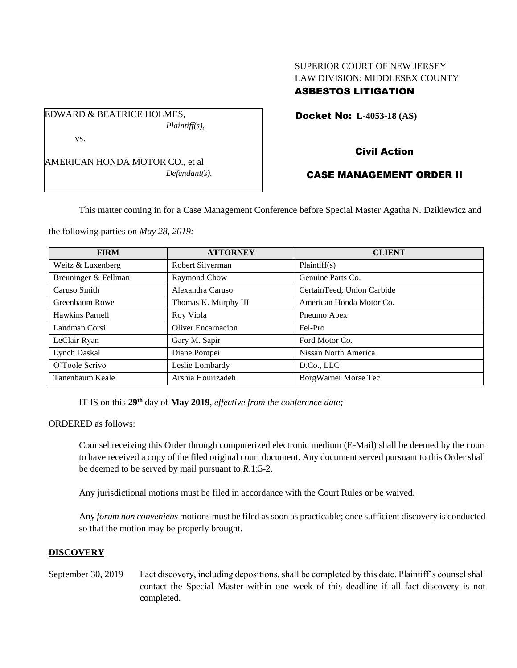# SUPERIOR COURT OF NEW JERSEY LAW DIVISION: MIDDLESEX COUNTY ASBESTOS LITIGATION

Docket No: **L-4053-18 (AS)** 

vs.

AMERICAN HONDA MOTOR CO., et al *Defendant(s).*

*Plaintiff(s),*

EDWARD & BEATRICE HOLMES,

# Civil Action

# CASE MANAGEMENT ORDER II

This matter coming in for a Case Management Conference before Special Master Agatha N. Dzikiewicz and

the following parties on *May 28, 2019:*

| <b>FIRM</b>          | <b>ATTORNEY</b>      | <b>CLIENT</b>              |
|----------------------|----------------------|----------------------------|
| Weitz & Luxenberg    | Robert Silverman     | Plaintiff(s)               |
| Breuninger & Fellman | Raymond Chow         | Genuine Parts Co.          |
| Caruso Smith         | Alexandra Caruso     | CertainTeed; Union Carbide |
| Greenbaum Rowe       | Thomas K. Murphy III | American Honda Motor Co.   |
| Hawkins Parnell      | Roy Viola            | Pneumo Abex                |
| Landman Corsi        | Oliver Encarnacion   | Fel-Pro                    |
| LeClair Ryan         | Gary M. Sapir        | Ford Motor Co.             |
| Lynch Daskal         | Diane Pompei         | Nissan North America       |
| O'Toole Scrivo       | Leslie Lombardy      | D.Co., LLC                 |
| Tanenbaum Keale      | Arshia Hourizadeh    | BorgWarner Morse Tec       |

IT IS on this  $29<sup>th</sup>$  day of May 2019, *effective from the conference date*;

ORDERED as follows:

Counsel receiving this Order through computerized electronic medium (E-Mail) shall be deemed by the court to have received a copy of the filed original court document. Any document served pursuant to this Order shall be deemed to be served by mail pursuant to *R*.1:5-2.

Any jurisdictional motions must be filed in accordance with the Court Rules or be waived.

Any *forum non conveniens* motions must be filed as soon as practicable; once sufficient discovery is conducted so that the motion may be properly brought.

### **DISCOVERY**

September 30, 2019 Fact discovery, including depositions, shall be completed by this date. Plaintiff's counsel shall contact the Special Master within one week of this deadline if all fact discovery is not completed.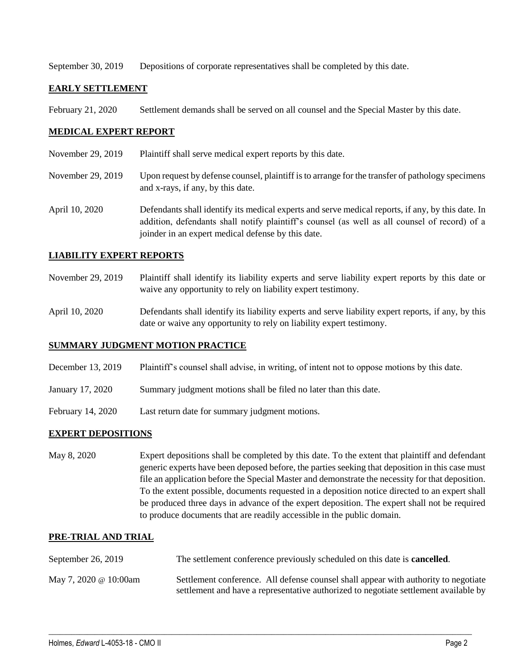September 30, 2019 Depositions of corporate representatives shall be completed by this date.

#### **EARLY SETTLEMENT**

February 21, 2020 Settlement demands shall be served on all counsel and the Special Master by this date.

### **MEDICAL EXPERT REPORT**

- November 29, 2019 Plaintiff shall serve medical expert reports by this date.
- November 29, 2019 Upon request by defense counsel, plaintiff is to arrange for the transfer of pathology specimens and x-rays, if any, by this date.
- April 10, 2020 Defendants shall identify its medical experts and serve medical reports, if any, by this date. In addition, defendants shall notify plaintiff's counsel (as well as all counsel of record) of a joinder in an expert medical defense by this date.

#### **LIABILITY EXPERT REPORTS**

- November 29, 2019 Plaintiff shall identify its liability experts and serve liability expert reports by this date or waive any opportunity to rely on liability expert testimony.
- April 10, 2020 Defendants shall identify its liability experts and serve liability expert reports, if any, by this date or waive any opportunity to rely on liability expert testimony.

### **SUMMARY JUDGMENT MOTION PRACTICE**

- December 13, 2019 Plaintiff's counsel shall advise, in writing, of intent not to oppose motions by this date.
- January 17, 2020 Summary judgment motions shall be filed no later than this date.
- February 14, 2020 Last return date for summary judgment motions.

### **EXPERT DEPOSITIONS**

May 8, 2020 Expert depositions shall be completed by this date. To the extent that plaintiff and defendant generic experts have been deposed before, the parties seeking that deposition in this case must file an application before the Special Master and demonstrate the necessity for that deposition. To the extent possible, documents requested in a deposition notice directed to an expert shall be produced three days in advance of the expert deposition. The expert shall not be required to produce documents that are readily accessible in the public domain.

#### **PRE-TRIAL AND TRIAL**

| September 26, 2019           | The settlement conference previously scheduled on this date is <b>cancelled</b> .                                                                                           |
|------------------------------|-----------------------------------------------------------------------------------------------------------------------------------------------------------------------------|
| May 7, 2020 $\omega$ 10:00am | Settlement conference. All defense counsel shall appear with authority to negotiate<br>settlement and have a representative authorized to negotiate settlement available by |

 $\_$  , and the set of the set of the set of the set of the set of the set of the set of the set of the set of the set of the set of the set of the set of the set of the set of the set of the set of the set of the set of th